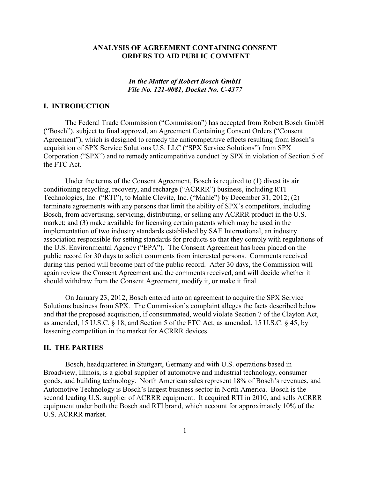## **ANALYSIS OF AGREEMENT CONTAINING CONSENT ORDERS TO AID PUBLIC COMMENT**

# *In the Matter of Robert Bosch GmbH File No. 121-0081, Docket No. C-4377*

# **I. INTRODUCTION**

The Federal Trade Commission ("Commission") has accepted from Robert Bosch GmbH ("Bosch"), subject to final approval, an Agreement Containing Consent Orders ("Consent Agreement"), which is designed to remedy the anticompetitive effects resulting from Bosch's acquisition of SPX Service Solutions U.S. LLC ("SPX Service Solutions") from SPX Corporation ("SPX") and to remedy anticompetitive conduct by SPX in violation of Section 5 of the FTC Act.

Under the terms of the Consent Agreement, Bosch is required to (1) divest its air conditioning recycling, recovery, and recharge ("ACRRR") business, including RTI Technologies, Inc. ("RTI"), to Mahle Clevite, Inc. ("Mahle") by December 31, 2012; (2) terminate agreements with any persons that limit the ability of SPX's competitors, including Bosch, from advertising, servicing, distributing, or selling any ACRRR product in the U.S. market; and (3) make available for licensing certain patents which may be used in the implementation of two industry standards established by SAE International, an industry association responsible for setting standards for products so that they comply with regulations of the U.S. Environmental Agency ("EPA"). The Consent Agreement has been placed on the public record for 30 days to solicit comments from interested persons. Comments received during this period will become part of the public record. After 30 days, the Commission will again review the Consent Agreement and the comments received, and will decide whether it should withdraw from the Consent Agreement, modify it, or make it final.

On January 23, 2012, Bosch entered into an agreement to acquire the SPX Service Solutions business from SPX. The Commission's complaint alleges the facts described below and that the proposed acquisition, if consummated, would violate Section 7 of the Clayton Act, as amended, 15 U.S.C. § 18, and Section 5 of the FTC Act, as amended, 15 U.S.C. § 45, by lessening competition in the market for ACRRR devices.

#### **II. THE PARTIES**

Bosch, headquartered in Stuttgart, Germany and with U.S. operations based in Broadview, Illinois, is a global supplier of automotive and industrial technology, consumer goods, and building technology. North American sales represent 18% of Bosch's revenues, and Automotive Technology is Bosch's largest business sector in North America. Bosch is the second leading U.S. supplier of ACRRR equipment. It acquired RTI in 2010, and sells ACRRR equipment under both the Bosch and RTI brand, which account for approximately 10% of the U.S. ACRRR market.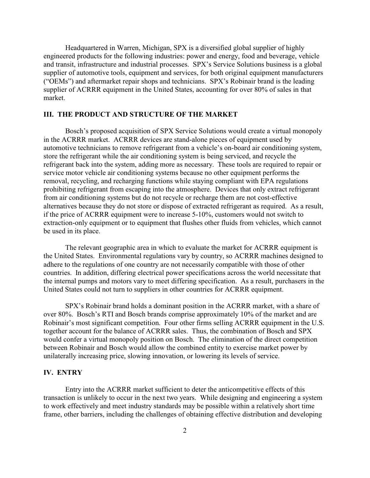Headquartered in Warren, Michigan, SPX is a diversified global supplier of highly engineered products for the following industries: power and energy, food and beverage, vehicle and transit, infrastructure and industrial processes. SPX's Service Solutions business is a global supplier of automotive tools, equipment and services, for both original equipment manufacturers ("OEMs") and aftermarket repair shops and technicians. SPX's Robinair brand is the leading supplier of ACRRR equipment in the United States, accounting for over 80% of sales in that market.

# **III. THE PRODUCT AND STRUCTURE OF THE MARKET**

Bosch's proposed acquisition of SPX Service Solutions would create a virtual monopoly in the ACRRR market. ACRRR devices are stand-alone pieces of equipment used by automotive technicians to remove refrigerant from a vehicle's on-board air conditioning system, store the refrigerant while the air conditioning system is being serviced, and recycle the refrigerant back into the system, adding more as necessary. These tools are required to repair or service motor vehicle air conditioning systems because no other equipment performs the removal, recycling, and recharging functions while staying compliant with EPA regulations prohibiting refrigerant from escaping into the atmosphere. Devices that only extract refrigerant from air conditioning systems but do not recycle or recharge them are not cost-effective alternatives because they do not store or dispose of extracted refrigerant as required. As a result, if the price of ACRRR equipment were to increase 5-10%, customers would not switch to extraction-only equipment or to equipment that flushes other fluids from vehicles, which cannot be used in its place.

The relevant geographic area in which to evaluate the market for ACRRR equipment is the United States. Environmental regulations vary by country, so ACRRR machines designed to adhere to the regulations of one country are not necessarily compatible with those of other countries. In addition, differing electrical power specifications across the world necessitate that the internal pumps and motors vary to meet differing specification. As a result, purchasers in the United States could not turn to suppliers in other countries for ACRRR equipment.

SPX's Robinair brand holds a dominant position in the ACRRR market, with a share of over 80%. Bosch's RTI and Bosch brands comprise approximately 10% of the market and are Robinair's most significant competition. Four other firms selling ACRRR equipment in the U.S. together account for the balance of ACRRR sales. Thus, the combination of Bosch and SPX would confer a virtual monopoly position on Bosch. The elimination of the direct competition between Robinair and Bosch would allow the combined entity to exercise market power by unilaterally increasing price, slowing innovation, or lowering its levels of service.

## **IV. ENTRY**

Entry into the ACRRR market sufficient to deter the anticompetitive effects of this transaction is unlikely to occur in the next two years. While designing and engineering a system to work effectively and meet industry standards may be possible within a relatively short time frame, other barriers, including the challenges of obtaining effective distribution and developing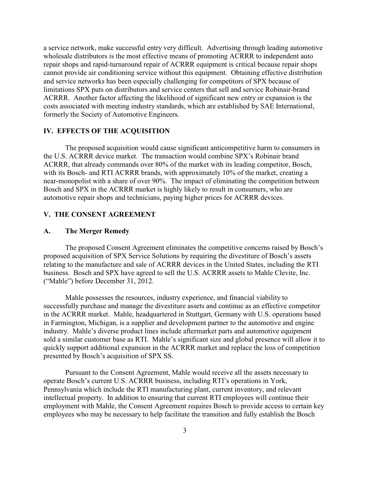a service network, make successful entry very difficult. Advertising through leading automotive wholesale distributors is the most effective means of promoting ACRRR to independent auto repair shops and rapid-turnaround repair of ACRRR equipment is critical because repair shops cannot provide air conditioning service without this equipment. Obtaining effective distribution and service networks has been especially challenging for competitors of SPX because of limitations SPX puts on distributors and service centers that sell and service Robinair-brand ACRRR. Another factor affecting the likelihood of significant new entry or expansion is the costs associated with meeting industry standards, which are established by SAE International, formerly the Society of Automotive Engineers.

### **IV. EFFECTS OF THE ACQUISITION**

The proposed acquisition would cause significant anticompetitive harm to consumers in the U.S. ACRRR device market. The transaction would combine SPX's Robinair brand ACRRR, that already commands over 80% of the market with its leading competitor, Bosch, with its Bosch- and RTI ACRRR brands, with approximately 10% of the market, creating a near-monopolist with a share of over 90%. The impact of eliminating the competition between Bosch and SPX in the ACRRR market is highly likely to result in consumers, who are automotive repair shops and technicians, paying higher prices for ACRRR devices.

#### **V. THE CONSENT AGREEMENT**

#### **A. The Merger Remedy**

The proposed Consent Agreement eliminates the competitive concerns raised by Bosch's proposed acquisition of SPX Service Solutions by requiring the divestiture of Bosch's assets relating to the manufacture and sale of ACRRR devices in the United States, including the RTI business. Bosch and SPX have agreed to sell the U.S. ACRRR assets to Mahle Clevite, Inc. ("Mahle") before December 31, 2012.

Mahle possesses the resources, industry experience, and financial viability to successfully purchase and manage the divestiture assets and continue as an effective competitor in the ACRRR market. Mahle, headquartered in Stuttgart, Germany with U.S. operations based in Farmington, Michigan, is a supplier and development partner to the automotive and engine industry. Mahle's diverse product lines include aftermarket parts and automotive equipment sold a similar customer base as RTI. Mahle's significant size and global presence will allow it to quickly support additional expansion in the ACRRR market and replace the loss of competition presented by Bosch's acquisition of SPX SS.

Pursuant to the Consent Agreement, Mahle would receive all the assets necessary to operate Bosch's current U.S. ACRRR business, including RTI's operations in York, Pennsylvania which include the RTI manufacturing plant, current inventory, and relevant intellectual property. In addition to ensuring that current RTI employees will continue their employment with Mahle, the Consent Agreement requires Bosch to provide access to certain key employees who may be necessary to help facilitate the transition and fully establish the Bosch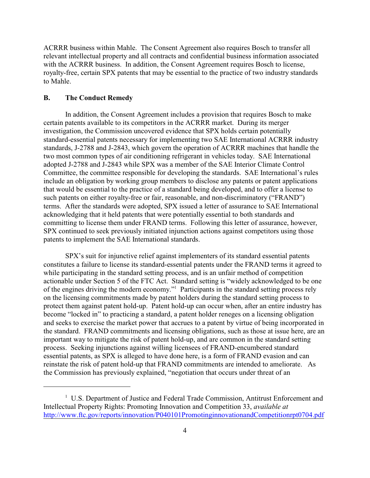ACRRR business within Mahle. The Consent Agreement also requires Bosch to transfer all relevant intellectual property and all contracts and confidential business information associated with the ACRRR business. In addition, the Consent Agreement requires Bosch to license, royalty-free, certain SPX patents that may be essential to the practice of two industry standards to Mahle.

### **B. The Conduct Remedy**

In addition, the Consent Agreement includes a provision that requires Bosch to make certain patents available to its competitors in the ACRRR market. During its merger investigation, the Commission uncovered evidence that SPX holds certain potentially standard-essential patents necessary for implementing two SAE International ACRRR industry standards, J-2788 and J-2843, which govern the operation of ACRRR machines that handle the two most common types of air conditioning refrigerant in vehicles today. SAE International adopted J-2788 and J-2843 while SPX was a member of the SAE Interior Climate Control Committee, the committee responsible for developing the standards. SAE International's rules include an obligation by working group members to disclose any patents or patent applications that would be essential to the practice of a standard being developed, and to offer a license to such patents on either royalty-free or fair, reasonable, and non-discriminatory ("FRAND") terms. After the standards were adopted, SPX issued a letter of assurance to SAE International acknowledging that it held patents that were potentially essential to both standards and committing to license them under FRAND terms. Following this letter of assurance, however, SPX continued to seek previously initiated injunction actions against competitors using those patents to implement the SAE International standards.

SPX's suit for injunctive relief against implementers of its standard essential patents constitutes a failure to license its standard-essential patents under the FRAND terms it agreed to while participating in the standard setting process, and is an unfair method of competition actionable under Section 5 of the FTC Act. Standard setting is "widely acknowledged to be one of the engines driving the modern economy." Participants in the standard setting process rely <sup>1</sup> on the licensing commitments made by patent holders during the standard setting process to protect them against patent hold-up. Patent hold-up can occur when, after an entire industry has become "locked in" to practicing a standard, a patent holder reneges on a licensing obligation and seeks to exercise the market power that accrues to a patent by virtue of being incorporated in the standard. FRAND commitments and licensing obligations, such as those at issue here, are an important way to mitigate the risk of patent hold-up, and are common in the standard setting process. Seeking injunctions against willing licensees of FRAND-encumbered standard essential patents, as SPX is alleged to have done here, is a form of FRAND evasion and can reinstate the risk of patent hold-up that FRAND commitments are intended to ameliorate. As the Commission has previously explained, "negotiation that occurs under threat of an

<sup>&</sup>lt;sup>1</sup> U.S. Department of Justice and Federal Trade Commission, Antitrust Enforcement and Intellectual Property Rights: Promoting Innovation and Competition 33, *available at* <http://www.ftc.gov/reports/innovation/P040101PromotinginnovationandCompetitionrpt0704.pdf>